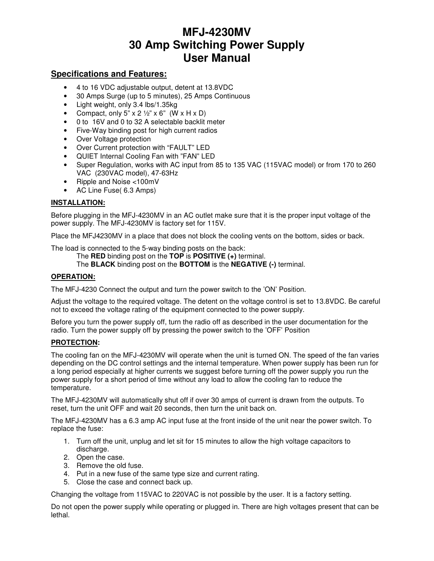# **MFJ-4230MV 30 Amp Switching Power Supply User Manual**

## **Specifications and Features:**

- 4 to 16 VDC adjustable output, detent at 13.8VDC
- 30 Amps Surge (up to 5 minutes), 25 Amps Continuous
- Light weight, only 3.4 lbs/1.35kg
- Compact, only 5" x 2  $\frac{1}{2}$ " x 6" (W x H x D)
- 0 to 16V and 0 to 32 A selectable backlit meter
- Five-Way binding post for high current radios
- Over Voltage protection
- Over Current protection with "FAULT" LED
- QUIET Internal Cooling Fan with "FAN" LED
- Super Regulation, works with AC input from 85 to 135 VAC (115VAC model) or from 170 to 260 VAC (230VAC model), 47-63Hz
- Ripple and Noise <100mV
- AC Line Fuse( 6.3 Amps)

### **INSTALLATION:**

Before plugging in the MFJ-4230MV in an AC outlet make sure that it is the proper input voltage of the power supply. The MFJ-4230MV is factory set for 115V.

Place the MFJ4230MV in a place that does not block the cooling vents on the bottom, sides or back.

The load is connected to the 5-way binding posts on the back:

The **RED** binding post on the **TOP** is **POSITIVE (+)** terminal.

The **BLACK** binding post on the **BOTTOM** is the **NEGATIVE (-)** terminal.

#### **OPERATION:**

The MFJ-4230 Connect the output and turn the power switch to the 'ON' Position.

Adjust the voltage to the required voltage. The detent on the voltage control is set to 13.8VDC. Be careful not to exceed the voltage rating of the equipment connected to the power supply.

Before you turn the power supply off, turn the radio off as described in the user documentation for the radio. Turn the power supply off by pressing the power switch to the 'OFF' Position

### **PROTECTION:**

The cooling fan on the MFJ-4230MV will operate when the unit is turned ON. The speed of the fan varies depending on the DC control settings and the internal temperature. When power supply has been run for a long period especially at higher currents we suggest before turning off the power supply you run the power supply for a short period of time without any load to allow the cooling fan to reduce the temperature.

The MFJ-4230MV will automatically shut off if over 30 amps of current is drawn from the outputs. To reset, turn the unit OFF and wait 20 seconds, then turn the unit back on.

The MFJ-4230MV has a 6.3 amp AC input fuse at the front inside of the unit near the power switch. To replace the fuse:

- 1. Turn off the unit, unplug and let sit for 15 minutes to allow the high voltage capacitors to discharge.
- 2. Open the case.
- 3. Remove the old fuse.
- 4. Put in a new fuse of the same type size and current rating.
- 5. Close the case and connect back up.

Changing the voltage from 115VAC to 220VAC is not possible by the user. It is a factory setting.

Do not open the power supply while operating or plugged in. There are high voltages present that can be lethal.